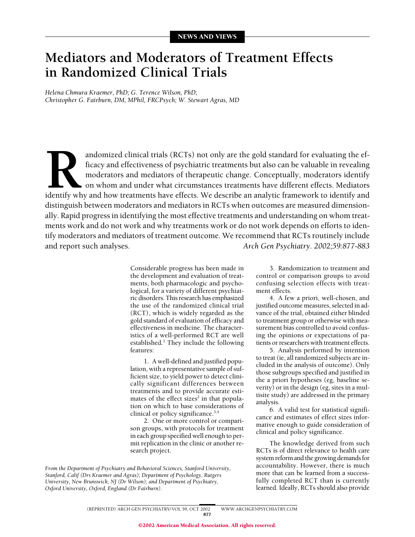# **Mediators and Moderators of Treatment Effects in Randomized Clinical Trials**

*Helena Chmura Kraemer, PhD; G. Terence Wilson, PhD; Christopher G. Fairburn, DM, MPhil, FRCPsych; W. Stewart Agras, MD*

andomized clinical trials (RCTs) not only are the gold standard for evaluating the efficacy and effectiveness of psychiatric treatments but also can be valuable in revealing moderators and mediators of therapeutic change. ficacy and effectiveness of psychiatric treatments but also can be valuable in revealing moderators and mediators of therapeutic change. Conceptually, moderators identify on whom and under what circumstances treatments have different effects. Mediators identify why and how treatments have effects. We describe an analytic framework to identify and distinguish between moderators and mediators in RCTs when outcomes are measured dimensionally. Rapid progress in identifying the most effective treatments and understanding on whom treatments work and do not work and why treatments work or do not work depends on efforts to identify moderators and mediators of treatment outcome. We recommend that RCTs routinely include and report such analyses. *Arch Gen Psychiatry. 2002;59:877-883*

> Considerable progress has been made in the development and evaluation of treatments, both pharmacologic and psychological, for a variety of different psychiatric disorders. This research has emphasized the use of the randomized clinical trial (RCT), which is widely regarded as the gold standard of evaluation of efficacy and effectiveness in medicine. The characteristics of a well-performed RCT are well established.<sup>1</sup> They include the following features:

> 1. A well-defined and justified population, with a representative sample of sufficient size, to yield power to detect clinically significant differences between treatments and to provide accurate estimates of the effect sizes<sup>2</sup> in that population on which to base considerations of clinical or policy significance.<sup>3,4</sup>

> 2. One or more control or comparison groups, with protocols for treatment in each group specified well enough to permit replication in the clinic or another research project.

*From the Department of Psychiatry and Behavioral Sciences, Stanford University, Stanford, Calif (Drs Kraemer and Agras); Department of Psychology, Rutgers University, New Brunswick, NJ (Dr Wilson); and Department of Psychiatry, Oxford University, Oxford, England (Dr Fairburn).*

3. Randomization to treatment and control or comparison groups to avoid confusing selection effects with treatment effects.

4. A few a priori, well-chosen, and justified outcome measures, selected in advance of the trial, obtained either blinded to treatment group or otherwise with measurement bias controlled to avoid confusing the opinions or expectations of patients or researchers with treatment effects.

5. Analysis performed by intention to treat (ie, all randomized subjects are included in the analysis of outcome). Only those subgroups specified and justified in the a priori hypotheses (eg, baseline severity) or in the design (eg, sites in a multisite study) are addressed in the primary analysis.

6. A valid test for statistical significance and estimates of effect sizes informative enough to guide consideration of clinical and policy significance.

The knowledge derived from such RCTs is of direct relevance to health care system reform and the growing demands for accountability. However, there is much more that can be learned from a successfully completed RCT than is currently learned. Ideally, RCTs should also provide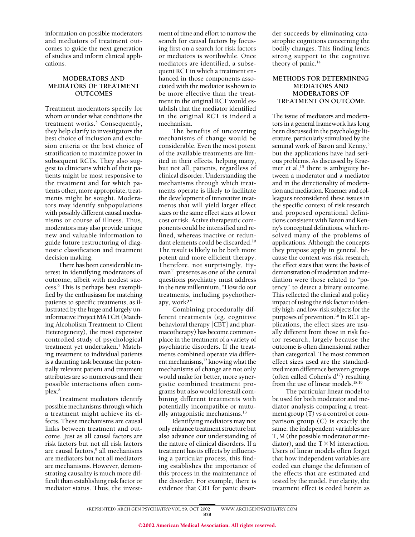information on possible moderators and mediators of treatment outcomes to guide the next generation of studies and inform clinical applications.

# **MODERATORS AND MEDIATORS OF TREATMENT OUTCOMES**

Treatment moderators specify for whom or under what conditions the treatment works.<sup>5</sup> Consequently, they help clarify to investigators the best choice of inclusion and exclusion criteria or the best choice of stratification to maximize power in subsequent RCTs. They also suggest to clinicians which of their patients might be most responsive to the treatment and for which patients other, more appropriate, treatments might be sought. Moderators may identify subpopulations with possibly different causal mechanisms or course of illness. Thus, moderators may also provide unique new and valuable information to guide future restructuring of diagnostic classification and treatment decision making.

There has been considerable interest in identifying moderators of outcome, albeit with modest success.6 This is perhaps best exemplified by the enthusiasm for matching patients to specific treatments, as illustrated by the huge and largely uninformative Project MATCH (Matching Alcoholism Treatment to Client Heterogeneity), the most expensive controlled study of psychological treatment yet undertaken.<sup>7</sup> Matching treatment to individual patients is a daunting task because the potentially relevant patient and treatment attributes are so numerous and their possible interactions often complex.<sup>8</sup>

Treatment mediators identify possible mechanisms through which a treatment might achieve its effects. These mechanisms are causal links between treatment and outcome. Just as all causal factors are risk factors but not all risk factors are causal factors,<sup>9</sup> all mechanisms are mediators but not all mediators are mechanisms. However, demonstrating causality is much more difficult than establishing risk factor or mediator status. Thus, the invest-

ment of time and effort to narrow the search for causal factors by focusing first on a search for risk factors or mediators is worthwhile. Once mediators are identified, a subsequent RCT in which a treatment enhanced in those components associated with the mediator is shown to be more effective than the treatment in the original RCT would establish that the mediator identified in the original RCT is indeed a mechanism.

The benefits of uncovering mechanisms of change would be considerable. Even the most potent of the available treatments are limited in their effects, helping many, but not all, patients, regardless of clinical disorder. Understanding the mechanisms through which treatments operate is likely to facilitate the development of innovative treatments that will yield larger effect sizes or the same effect sizes at lower cost or risk. Active therapeutic components could be intensified and refined, whereas inactive or redundant elements could be discarded.<sup>10</sup> The result is likely to be both more potent and more efficient therapy. Therefore, not surprisingly, Hyman<sup>11</sup> presents as one of the central questions psychiatry must address in the new millennium, "How do our treatments, including psychotherapy, work?"

Combining procedurally different treatments (eg, cognitive behavioral therapy [CBT] and pharmacotherapy) has become commonplace in the treatment of a variety of psychiatric disorders. If the treatments combined operate via different mechanisms,<sup>12</sup> knowing what the mechanisms of change are not only would make for better, more synergistic combined treatment programs but also would forestall combining different treatments with potentially incompatible or mutually antagonistic mechanisms.<sup>13</sup>

Identifying mediators may not only enhance treatment structure but also advance our understanding of the nature of clinical disorders. If a treatment has its effects by influencing a particular process, this finding establishes the importance of this process in the maintenance of the disorder. For example, there is evidence that CBT for panic disorder succeeds by eliminating catastrophic cognitions concerning the bodily changes. This finding lends strong support to the cognitive theory of panic.<sup>14</sup>

# **METHODS FOR DETERMINING MEDIATORS AND MODERATORS OF TREATMENT ON OUTCOME**

The issue of mediators and moderators in a general framework has long been discussed in the psychology literature, particularly stimulated by the seminal work of Baron and Kenny,<sup>5</sup> but the applications have had serious problems. As discussed by Kraemer et al, $15$  there is ambiguity between a moderator and a mediator and in the directionality of moderation and mediation. Kraemer and colleagues reconsidered these issues in the specific context of risk research and proposed operational definitions consistent with Baron and Kenny's conceptual definitions, which resolved many of the problems of applications. Although the concepts they propose apply in general, because the context was risk research, the effect sizes that were the basis of demonstration of moderation and mediation were those related to "potency" to detect a binary outcome. This reflected the clinical and policy impact of using the risk factor to identify high- and low-risk subjects for the purposes of prevention.<sup>16</sup> In RCT applications, the effect sizes are usually different from those in risk factor research, largely because the outcome is often dimensional rather than categorical. The most common effect sizes used are the standardized mean difference between groups (often called Cohen's  $d^{17}$ ) resulting from the use of linear models.<sup>18,19</sup>

The particular linear model to be used for both moderator and mediator analysis comparing a treatment group (T) vs a control or comparison group (C) is exactly the same: the independent variables are T, M (the possible moderator or mediator), and the  $T \times M$  interaction. Users of linear models often forget that how independent variables are coded can change the definition of the effects that are estimated and tested by the model. For clarity, the treatment effect is coded herein as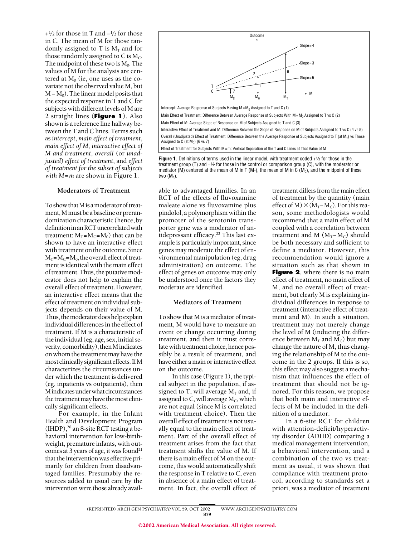$+1/2$  for those in T and  $-1/2$  for those in C. The mean of M for those randomly assigned to T is  $M_T$  and for those randomly assigned to C is  $M_c$ . The midpoint of these two is  $M_0$ . The values of M for the analysis are centered at  $M<sub>0</sub>$  (ie, one uses as the covariate not the observed value M, but  $M - M<sub>0</sub>$ ). The linear model posits that the expected response in T and C for subjects with different levels of M are 2 straight lines (**Figure 1**). Also shown is a reference line halfway between the T and C lines. Terms such as*intercept*, *main effect of treatment*, *main effect of M*, *interactive effect of M and treatment*, *overall* (or *unadjusted*) *effect of treatment*, and *effect of treatment for the subset of subjects with M*=*m* are shown in Figure 1.

#### **Moderators of Treatment**

To show that M is a moderator of treatment, M must be a baseline or prerandomization characteristic (hence, by definition in an RCT uncorrelated with treatment:  $M_T=M_C=M_0$ ) that can be shown to have an interactive effect with treatment on the outcome. Since  $M_T=M_C=M_0$ , the overall effect of treatment is identical with the main effect of treatment. Thus, the putative moderator does not help to explain the overall effect of treatment. However, an interactive effect means that the effect of treatment on individual subjects depends on their value of M. Thus, the moderator does help explain individual differences in the effect of treatment. If M is a characteristic of the individual (eg, age, sex, initial severity, comorbidity), then M indicates on whom the treatment may have the mostclinicallysignificanteffects.IfM characterizes the circumstances under which the treatment is delivered (eg, inpatients vs outpatients), then M indicates under what circumstances the treatment may have the most clinically significant effects.

For example, in the Infant Health and Development Program  $(HDP)$ ,<sup>20</sup> an 8-site RCT testing a behavioral intervention for low-birthweight, premature infants, with outcomes at 3 years of age, it was found<sup>21</sup> that the intervention was effective primarily for children from disadvantaged families. Presumably the resources added to usual care by the intervention were those already avail-



Figure 1. Definitions of terms used in the linear model, with treatment coded +1/<sub>2</sub> for those in the treatment group (T) and −1⁄2 for those in the control or comparison group (C), with the moderator or mediator (M) centered at the mean of M in T (M<sub>T</sub>), the mean of M in C (M<sub>c</sub>), and the midpoint of these two  $(M_0)$ .

able to advantaged families. In an RCT of the effects of fluvoxamine maleate alone vs fluvoxamine plus pindolol, a polymorphism within the promoter of the serotonin transporter gene was a moderator of antidepressant efficacy.<sup>22</sup> This last example is particularly important, since genes may moderate the effect of environmental manipulation (eg, drug administration) on outcome. The effect of genes on outcome may only be understood once the factors they moderate are identified.

#### **Mediators of Treatment**

To show that M is a mediator of treatment, M would have to measure an event or change occurring during treatment, and then it must correlate with treatment choice, hence possibly be a result of treatment, and have either a main or interactive effect on the outcome.

In this case (Figure 1), the typical subject in the population, if assigned to T, will average  $M_T$  and, if assigned to C, will average  $M<sub>C</sub>$ , which are not equal (since M is correlated with treatment choice). Then the overall effect of treatment is not usually equal to the main effect of treatment. Part of the overall effect of treatment arises from the fact that treatment shifts the value of M. If there is a main effect of M on the outcome, this would automatically shift the response in T relative to C, even in absence of a main effect of treatment. In fact, the overall effect of

treatment differs from the main effect of treatment by the quantity (main effect of M)  $\times$  (M<sub>T</sub>−M<sub>C</sub>). For this reason, some methodologists would recommend that a main effect of M coupled with a correlation between treatment and M  $(M_T-M_C)$  should be both necessary and sufficient to define a mediator. However, this recommendation would ignore a situation such as that shown in **Figure 2.** where there is no main effect of treatment, no main effect of M, and no overall effect of treatment, but clearly M is explaining individual differences in response to treatment (interactive effect of treatment and M). In such a situation, treatment may not merely change the level of M (inducing the difference between  $M_T$  and  $M_C$ ) but may change the nature of M, thus changing the relationship of M to the outcome in the 2 groups. If this is so, this effect may also suggest a mechanism that influences the effect of treatment that should not be ignored. For this reason, we propose that both main and interactive effects of M be included in the definition of a mediator.

In a 6-site RCT for children with attention-deficit/hyperactivity disorder (ADHD) comparing a medical management intervention, a behavioral intervention, and a combination of the two vs treatment as usual, it was shown that compliance with treatment protocol, according to standards set a priori, was a mediator of treatment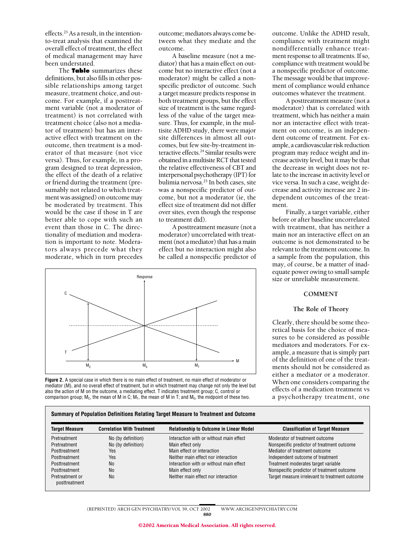effects.<sup>23</sup> As a result, in the intentionto-treat analysis that examined the overall effect of treatment, the effect of medical management may have been understated.

The **Table** summarizes these definitions, but also fills in other possible relationships among target measure, treatment choice, and outcome. For example, if a posttreatment variable (not a moderator of treatment) is not correlated with treatment choice (also not a mediator of treatment) but has an interactive effect with treatment on the outcome, then treatment is a moderator of that measure (not vice versa). Thus, for example, in a program designed to treat depression, the effect of the death of a relative or friend during the treatment (presumably not related to which treatment was assigned) on outcome may be moderated by treatment. This would be the case if those in T are better able to cope with such an event than those in C. The directionality of mediation and moderation is important to note. Moderators always precede what they moderate, which in turn precedes outcome; mediators always come between what they mediate and the outcome.

A baseline measure (not a mediator) that has a main effect on outcome but no interactive effect (not a moderator) might be called a nonspecific predictor of outcome. Such a target measure predicts response in both treatment groups, but the effect size of treatment is the same regardless of the value of the target measure. Thus, for example, in the multisite ADHD study, there were major site differences in almost all outcomes, but few site-by-treatment interactive effects.<sup>24</sup> Similar results were obtained in a multisite RCT that tested the relative effectiveness of CBT and interpersonal psychotherapy (IPT) for bulimia nervosa. $^{25}$  In both cases, site was a nonspecific predictor of outcome, but not a moderator (ie, the effect size of treatment did not differ over sites, even though the response to treatment did).

A posttreatment measure (not a moderator) uncorrelated with treatment (not a mediator) that has a main effect but no interaction might also be called a nonspecific predictor of



**Figure 2.** A special case in which there is no main effect of treatment, no main effect of moderator or mediator (M), and no overall effect of treatment, but in which treatment may change not only the level but also the action of M on the outcome, a mediating effect. T indicates treatment group; C, control or comparison group;  $M_c$ , the mean of M in C;  $M_T$ , the mean of M in T; and  $M_0$ , the midpoint of these two.

**Summary of Population Definitions Relating Target Measure to Treatment and Outcome**

outcome. Unlike the ADHD result, compliance with treatment might nondifferentially enhance treatment response to all treatments. If so, compliance with treatment would be a nonspecific predictor of outcome. The message would be that improvement of compliance would enhance outcomes whatever the treatment.

A posttreatment measure (not a moderator) that is correlated with treatment, which has neither a main nor an interactive effect with treatment on outcome, is an independent outcome of treatment. For example, a cardiovascular risk reduction program may reduce weight and increase activity level, but it may be that the decrease in weight does not relate to the increase in activity level or vice versa. In such a case, weight decrease and activity increase are 2 independent outcomes of the treatment.

Finally, a target variable, either before or after baseline uncorrelated with treatment, that has neither a main nor an interactive effect on an outcome is not demonstrated to be relevant to the treatment outcome. In a sample from the population, this may, of course, be a matter of inadequate power owing to small sample size or unreliable measurement.

## **COMMENT**

#### **The Role of Theory**

Clearly, there should be some theoretical basis for the choice of measures to be considered as possible mediators and moderators. For example, a measure that is simply part of the definition of one of the treatments should not be considered as either a mediator or a moderator. When one considers comparing the effects of a medication treatment vs a psychotherapy treatment, one

| <b>Target Measure</b>            | <b>Correlation With Treatment</b> | <b>Relationship to Outcome in Linear Model</b> | <b>Classification of Target Measure</b>        |
|----------------------------------|-----------------------------------|------------------------------------------------|------------------------------------------------|
| Pretreatment                     | No (by definition)                | Interaction with or without main effect        | Moderator of treatment outcome                 |
| Pretreatment                     | No (by definition)                | Main effect only                               | Nonspecific predictor of treatment outcome     |
| Posttreatment                    | Yes                               | Main effect or interaction                     | Mediator of treatment outcome                  |
| Posttreatment                    | Yes                               | Neither main effect nor interaction            | Independent outcome of treatment               |
| Posttreatment                    | <b>No</b>                         | Interaction with or without main effect        | Treatment moderates target variable            |
| Posttreatment                    | No.                               | Main effect only                               | Nonspecific predictor of treatment outcome     |
| Pretreatment or<br>posttreatment | No.                               | Neither main effect nor interaction            | Target measure irrelevant to treatment outcome |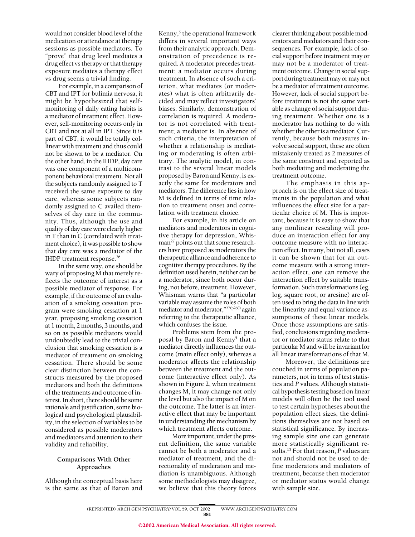would not consider blood level of the medication or attendance at therapy sessions as possible mediators. To "prove" that drug level mediates a drug effect vs therapy or that therapy exposure mediates a therapy effect vs drug seems a trivial finding.

For example, in a comparison of CBT and IPT for bulimia nervosa, it might be hypothesized that selfmonitoring of daily eating habits is a mediator of treatment effect. However, self-monitoring occurs only in CBT and not at all in IPT. Since it is part of CBT, it would be totally collinear with treatment and thus could not be shown to be a mediator. On the other hand, in the IHDP, day care was one component of a multicomponent behavioral treatment. Not all the subjects randomly assigned to T received the same exposure to day care, whereas some subjects randomly assigned to C availed themselves of day care in the community. Thus, although the use and quality of day care were clearly higher in T than in C (correlated with treatment choice), it was possible to show that day care was a mediator of the IHDP treatment response.<sup>26</sup>

In the same way, one should be wary of proposing M that merely reflects the outcome of interest as a possible mediator of response. For example, if the outcome of an evaluation of a smoking cessation program were smoking cessation at 1 year, proposing smoking cessation at 1 month, 2 months, 3 months, and so on as possible mediators would undoubtedly lead to the trivial conclusion that smoking cessation is a mediator of treatment on smoking cessation. There should be some clear distinction between the constructs measured by the proposed mediators and both the definitions of the treatments and outcome of interest. In short, there should be some rationale and justification, some biological and psychological plausibility, in the selection of variables to be considered as possible moderators and mediators and attention to their validity and reliability.

# **Comparisons With Other Approaches**

Although the conceptual basis here is the same as that of Baron and

Kenny, $5$  the operational framework differs in several important ways from their analytic approach. Demonstration of precedence is required. A moderator precedes treatment; a mediator occurs during treatment. In absence of such a criterion, what mediates (or moderates) what is often arbitrarily decided and may reflect investigators' biases. Similarly, demonstration of correlation is required. A moderator is not correlated with treatment; a mediator is. In absence of such criteria, the interpretation of whether a relationship is mediating or moderating is often arbitrary. The analytic model, in contrast to the several linear models proposed by Baron and Kenny, is exactly the same for moderators and mediators. The difference lies in how M is defined in terms of time relation to treatment onset and correlation with treatment choice.

For example, in his article on mediators and moderators in cognitive therapy for depression, Whisman<sup>27</sup> points out that some researchers have proposed as moderators the therapeutic alliance and adherence to cognitive therapy procedures. By the definition used herein, neither can be a moderator, since both occur during, not before, treatment. However, Whisman warns that "a particular variable may assume the roles of both mediator and moderator,"27(p260) again referring to the therapeutic alliance, which confuses the issue.

Problems stem from the proposal by Baron and Kenny<sup>5</sup> that a mediator directly influences the outcome (main effect only), whereas a moderator affects the relationship between the treatment and the outcome (interactive effect only). As shown in Figure 2, when treatment changes M, it may change not only the level but also the impact of M on the outcome. The latter is an interactive effect that may be important in understanding the mechanism by which treatment affects outcome.

More important, under the present definition, the same variable cannot be both a moderator and a mediator of treatment, and the directionality of moderation and mediation is unambiguous. Although some methodologists may disagree, we believe that this theory forces clearer thinking about possible moderators and mediators and their consequences. For example, lack of social support before treatment may or may not be a moderator of treatment outcome. Change in social support during treatment may or may not be a mediator of treatment outcome. However, lack of social support before treatment is not the same variable as change of social support during treatment. Whether one is a moderator has nothing to do with whether the other is a mediator. Currently, because both measures involve social support, these are often mistakenly treated as 2 measures of the same construct and reported as both mediating and moderating the treatment outcome.

The emphasis in this approach is on the effect size of treatments in the population and what influences the effect size for a particular choice of M. This is important, because it is easy to show that any nonlinear rescaling will produce an interaction effect for any outcome measure with no interaction effect. In many, but not all, cases it can be shown that for an outcome measure with a strong interaction effect, one can remove the interaction effect by suitable transformation. Such transformations (eg, log, square root, or arcsine) are often used to bring the data in line with the linearity and equal variance assumptions of these linear models. Once those assumptions are satisfied, conclusions regarding moderator or mediator status relate to that particular M and will be invariant for all linear transformations of that M.

Moreover, the definitions are couched in terms of population parameters, not in terms of test statistics and *P* values. Although statistical hypothesis testing based on linear models will often be the tool used to test certain hypotheses about the population effect sizes, the definitions themselves are not based on statistical significance. By increasing sample size one can generate more statistically significant results.15 For that reason, *P* values are not and should not be used to define moderators and mediators of treatment, because then moderator or mediator status would change with sample size.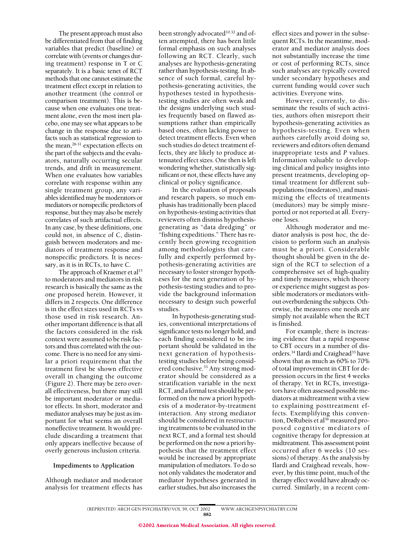The present approach must also be differentiated from that of finding variables that predict (baseline) or correlate with (events or changes during treatment) response in T or C separately. It is a basic tenet of RCT methods that one cannot estimate the treatment effect except in relation to another treatment (the control or comparison treatment). This is because when one evaluates one treatment alone, even the most inert placebo, one may see what appears to be change in the response due to artifacts such as statistical regression to the mean,<sup>28-31</sup> expectation effects on the part of the subjects and the evaluators, naturally occurring secular trends, and drift in measurement. When one evaluates how variables correlate with response within any single treatment group, any variables identified may be moderators or mediators or nonspecific predictors of response, but they may also be merely correlates of such artifactual effects. In any case, by these definitions, one could not, in absence of C, distinguish between moderators and mediators of treatment response and nonspecific predictors. It is necessary, as it is in RCTs, to have C.

The approach of Kraemer et al<sup>15</sup> to moderators and mediators in risk research is basically the same as the one proposed herein. However, it differs in 2 respects. One difference is in the effect sizes used in RCTs vs those used in risk research. Another important difference is that all the factors considered in the risk context were assumed to be risk factors and thus correlated with the outcome. There is no need for any similar a priori requirement that the treatment first be shown effective overall in changing the outcome (Figure 2). There may be zero overall effectiveness, but there may still be important moderator or mediator effects. In short, moderator and mediator analyses may be just as important for what seems an overall noneffective treatment. It would preclude discarding a treatment that only appears ineffective because of overly generous inclusion criteria.

### **Impediments to Application**

Although mediator and moderator analysis for treatment effects has been strongly advocated $10,32$  and often attempted, there has been little formal emphasis on such analyses following an RCT. Clearly, such analyses are hypothesis-generating rather than hypothesis-testing. In absence of such formal, careful hypothesis-generating activities, the hypotheses tested in hypothesistesting studies are often weak and the designs underlying such studies frequently based on flawed assumptions rather than empirically based ones, often lacking power to detect treatment effects. Even when such studies do detect treatment effects, they are likely to produce attenuated effect sizes. One then is left wondering whether, statistically significant or not, these effects have any clinical or policy significance.

In the evaluation of proposals and research papers, so much emphasis has traditionally been placed on hypothesis-testing activities that reviewers often dismiss hypothesisgenerating as "data dredging" or "fishing expeditions." There has recently been growing recognition among methodologists that carefully and expertly performed hypothesis-generating activities are necessary to foster stronger hypotheses for the next generation of hypothesis-testing studies and to provide the background information necessary to design such powerful studies.

In hypothesis-generating studies, conventional interpretations of significance tests no longer hold, and each finding considered to be important should be validated in the next generation of hypothesistesting studies before being considered conclusive.<sup>33</sup> Any strong moderator should be considered as a stratification variable in the next RCT, and a formal test should be performed on the now a priori hypothesis of a moderator-by-treatment interaction. Any strong mediator should be considered in restructuring treatments to be evaluated in the next RCT, and a formal test should be performed on the now a priori hypothesis that the treatment effect would be increased by appropriate manipulation of mediators. To do so not only validates the moderator and mediator hypotheses generated in earlier studies, but also increases the

effect sizes and power in the subsequent RCTs. In the meantime, moderator and mediator analysis does not substantially increase the time or cost of performing RCTs, since such analyses are typically covered under secondary hypotheses and current funding would cover such activities. Everyone wins.

However, currently, to disseminate the results of such activities, authors often misreport their hypothesis-generating activities as hypothesis-testing. Even when authors carefully avoid doing so, reviewers and editors often demand inappropriate tests and *P* values. Information valuable to developing clinical and policy insights into present treatments, developing optimal treatment for different subpopulations (moderators), and maximizing the effects of treatments (mediators) may be simply misreported or not reported at all. Everyone loses.

Although moderator and mediator analysis is post hoc, the decision to perform such an analysis must be a priori. Considerable thought should be given in the design of the RCT to selection of a comprehensive set of high-quality and timely measures, which theory or experience might suggest as possible moderators or mediators without overburdening the subjects. Otherwise, the measures one needs are simply not available when the RCT is finished.

For example, there is increasing evidence that a rapid response to CBT occurs in a number of disorders.<sup>34</sup> Ilardi and Craighead<sup>35</sup> have shown that as much as 60% to 70% of total improvement in CBT for depression occurs in the first 4 weeks of therapy. Yet in RCTs, investigators have often assessed possible mediators at midtreatment with a view to explaining posttreatment effects. Exemplifying this convention, DeRubeis et al<sup>36</sup> measured proposed cognitive mediators of cognitive therapy for depression at midtreatment. This assessment point occurred after 6 weeks (10 sessions) of therapy. As the analysis by Ilardi and Craighead reveals, however, by this time point, much of the therapy effect would have already occurred. Similarly, in a recent com